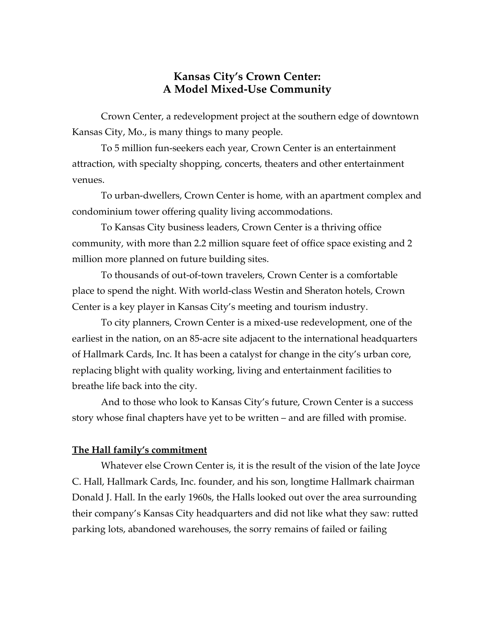## **Kansas City's Crown Center: A Model Mixed-Use Community**

Crown Center, a redevelopment project at the southern edge of downtown Kansas City, Mo., is many things to many people.

To 5 million fun-seekers each year, Crown Center is an entertainment attraction, with specialty shopping, concerts, theaters and other entertainment venues.

To urban-dwellers, Crown Center is home, with an apartment complex and condominium tower offering quality living accommodations.

To Kansas City business leaders, Crown Center is a thriving office community, with more than 2.2 million square feet of office space existing and 2 million more planned on future building sites.

To thousands of out-of-town travelers, Crown Center is a comfortable place to spend the night. With world-class Westin and Sheraton hotels, Crown Center is a key player in Kansas City's meeting and tourism industry.

To city planners, Crown Center is a mixed-use redevelopment, one of the earliest in the nation, on an 85-acre site adjacent to the international headquarters of Hallmark Cards, Inc. It has been a catalyst for change in the city's urban core, replacing blight with quality working, living and entertainment facilities to breathe life back into the city.

And to those who look to Kansas City's future, Crown Center is a success story whose final chapters have yet to be written – and are filled with promise.

## **The Hall family's commitment**

Whatever else Crown Center is, it is the result of the vision of the late Joyce C. Hall, Hallmark Cards, Inc. founder, and his son, longtime Hallmark chairman Donald J. Hall. In the early 1960s, the Halls looked out over the area surrounding their company's Kansas City headquarters and did not like what they saw: rutted parking lots, abandoned warehouses, the sorry remains of failed or failing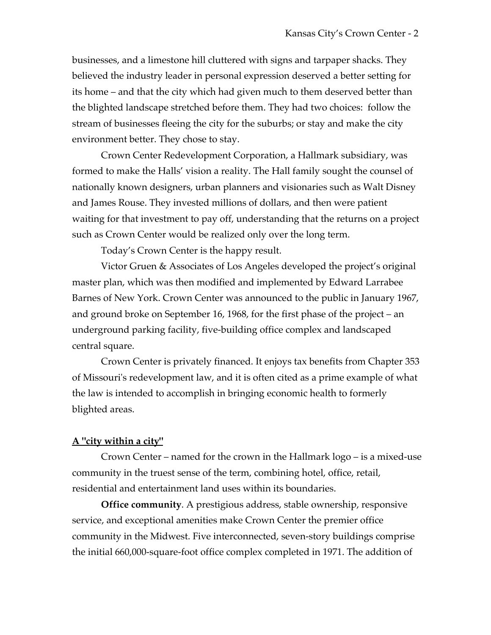businesses, and a limestone hill cluttered with signs and tarpaper shacks. They believed the industry leader in personal expression deserved a better setting for its home – and that the city which had given much to them deserved better than the blighted landscape stretched before them. They had two choices: follow the stream of businesses fleeing the city for the suburbs; or stay and make the city environment better. They chose to stay.

Crown Center Redevelopment Corporation, a Hallmark subsidiary, was formed to make the Halls' vision a reality. The Hall family sought the counsel of nationally known designers, urban planners and visionaries such as Walt Disney and James Rouse. They invested millions of dollars, and then were patient waiting for that investment to pay off, understanding that the returns on a project such as Crown Center would be realized only over the long term.

Today's Crown Center is the happy result.

Victor Gruen & Associates of Los Angeles developed the project's original master plan, which was then modified and implemented by Edward Larrabee Barnes of New York. Crown Center was announced to the public in January 1967, and ground broke on September 16, 1968, for the first phase of the project – an underground parking facility, five-building office complex and landscaped central square.

Crown Center is privately financed. It enjoys tax benefits from Chapter 353 of Missouri's redevelopment law, and it is often cited as a prime example of what the law is intended to accomplish in bringing economic health to formerly blighted areas.

## **A "city within a city"**

Crown Center – named for the crown in the Hallmark logo – is a mixed-use community in the truest sense of the term, combining hotel, office, retail, residential and entertainment land uses within its boundaries.

**Office community**. A prestigious address, stable ownership, responsive service, and exceptional amenities make Crown Center the premier office community in the Midwest. Five interconnected, seven-story buildings comprise the initial 660,000-square-foot office complex completed in 1971. The addition of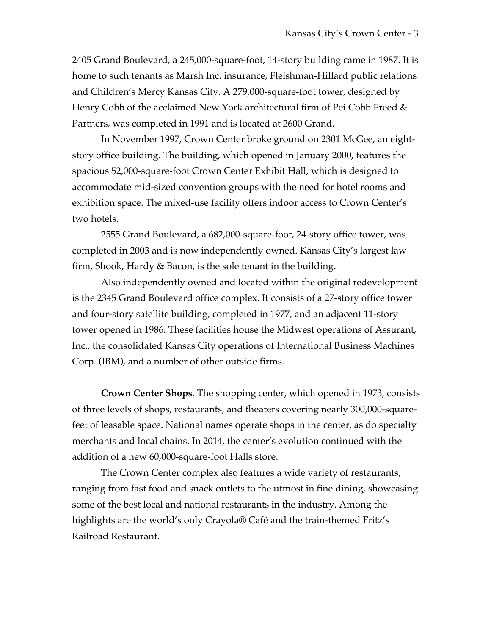2405 Grand Boulevard, a 245,000-square-foot, 14-story building came in 1987. It is home to such tenants as Marsh Inc. insurance, Fleishman-Hillard public relations and Children's Mercy Kansas City. A 279,000-square-foot tower, designed by Henry Cobb of the acclaimed New York architectural firm of Pei Cobb Freed & Partners, was completed in 1991 and is located at 2600 Grand.

In November 1997, Crown Center broke ground on 2301 McGee, an eightstory office building. The building, which opened in January 2000, features the spacious 52,000-square-foot Crown Center Exhibit Hall, which is designed to accommodate mid-sized convention groups with the need for hotel rooms and exhibition space. The mixed-use facility offers indoor access to Crown Center's two hotels.

2555 Grand Boulevard, a 682,000-square-foot, 24-story office tower, was completed in 2003 and is now independently owned. Kansas City's largest law firm, Shook, Hardy & Bacon, is the sole tenant in the building.

Also independently owned and located within the original redevelopment is the 2345 Grand Boulevard office complex. It consists of a 27-story office tower and four-story satellite building, completed in 1977, and an adjacent 11-story tower opened in 1986. These facilities house the Midwest operations of Assurant, Inc., the consolidated Kansas City operations of International Business Machines Corp. (IBM), and a number of other outside firms.

**Crown Center Shops**. The shopping center, which opened in 1973, consists of three levels of shops, restaurants, and theaters covering nearly 300,000-squarefeet of leasable space. National names operate shops in the center, as do specialty merchants and local chains. In 2014, the center's evolution continued with the addition of a new 60,000-square-foot Halls store.

The Crown Center complex also features a wide variety of restaurants, ranging from fast food and snack outlets to the utmost in fine dining, showcasing some of the best local and national restaurants in the industry. Among the highlights are the world's only Crayola® Café and the train-themed Fritz's Railroad Restaurant.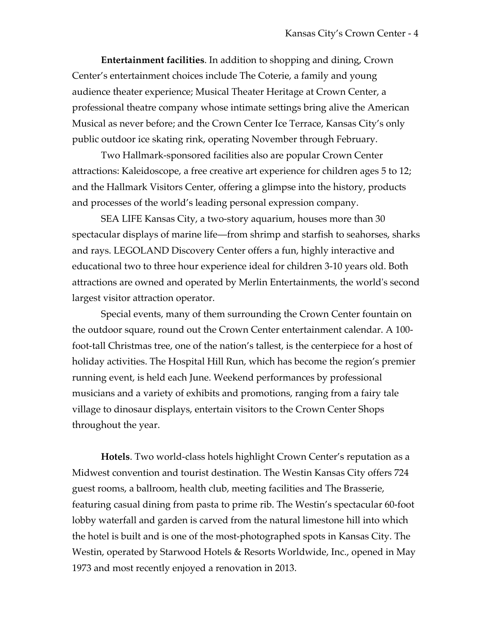**Entertainment facilities**. In addition to shopping and dining, Crown Center's entertainment choices include The Coterie, a family and young audience theater experience; Musical Theater Heritage at Crown Center, a professional theatre company whose intimate settings bring alive the American Musical as never before; and the Crown Center Ice Terrace, Kansas City's only public outdoor ice skating rink, operating November through February.

Two Hallmark-sponsored facilities also are popular Crown Center attractions: Kaleidoscope, a free creative art experience for children ages 5 to 12; and the Hallmark Visitors Center, offering a glimpse into the history, products and processes of the world's leading personal expression company.

SEA LIFE Kansas City, a two-story aquarium, houses more than 30 spectacular displays of marine life—from shrimp and starfish to seahorses, sharks and rays. LEGOLAND Discovery Center offers a fun, highly interactive and educational two to three hour experience ideal for children 3-10 years old. Both attractions are owned and operated by Merlin Entertainments, the world's second largest visitor attraction operator.

Special events, many of them surrounding the Crown Center fountain on the outdoor square, round out the Crown Center entertainment calendar. A 100 foot-tall Christmas tree, one of the nation's tallest, is the centerpiece for a host of holiday activities. The Hospital Hill Run, which has become the region's premier running event, is held each June. Weekend performances by professional musicians and a variety of exhibits and promotions, ranging from a fairy tale village to dinosaur displays, entertain visitors to the Crown Center Shops throughout the year.

**Hotels**. Two world-class hotels highlight Crown Center's reputation as a Midwest convention and tourist destination. The Westin Kansas City offers 724 guest rooms, a ballroom, health club, meeting facilities and The Brasserie, featuring casual dining from pasta to prime rib. The Westin's spectacular 60-foot lobby waterfall and garden is carved from the natural limestone hill into which the hotel is built and is one of the most-photographed spots in Kansas City. The Westin, operated by Starwood Hotels & Resorts Worldwide, Inc., opened in May 1973 and most recently enjoyed a renovation in 2013.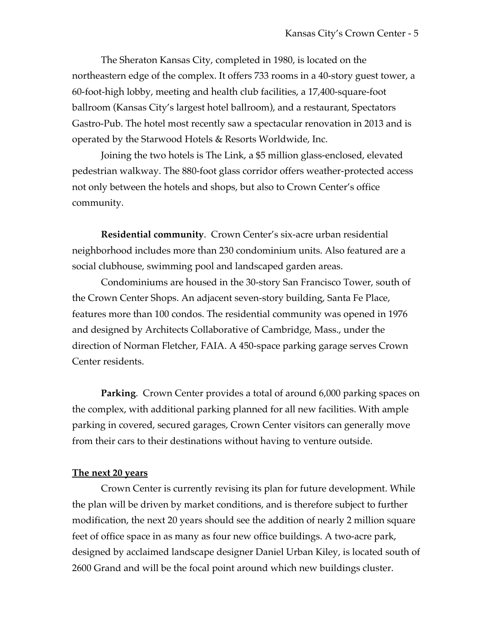The Sheraton Kansas City, completed in 1980, is located on the northeastern edge of the complex. It offers 733 rooms in a 40-story guest tower, a 60-foot-high lobby, meeting and health club facilities, a 17,400-square-foot ballroom (Kansas City's largest hotel ballroom), and a restaurant, Spectators Gastro-Pub. The hotel most recently saw a spectacular renovation in 2013 and is operated by the Starwood Hotels & Resorts Worldwide, Inc.

Joining the two hotels is The Link, a \$5 million glass-enclosed, elevated pedestrian walkway. The 880-foot glass corridor offers weather-protected access not only between the hotels and shops, but also to Crown Center's office community.

**Residential community**. Crown Center's six-acre urban residential neighborhood includes more than 230 condominium units. Also featured are a social clubhouse, swimming pool and landscaped garden areas.

Condominiums are housed in the 30-story San Francisco Tower, south of the Crown Center Shops. An adjacent seven-story building, Santa Fe Place, features more than 100 condos. The residential community was opened in 1976 and designed by Architects Collaborative of Cambridge, Mass., under the direction of Norman Fletcher, FAIA. A 450-space parking garage serves Crown Center residents.

**Parking**. Crown Center provides a total of around 6,000 parking spaces on the complex, with additional parking planned for all new facilities. With ample parking in covered, secured garages, Crown Center visitors can generally move from their cars to their destinations without having to venture outside.

## **The next 20 years**

Crown Center is currently revising its plan for future development. While the plan will be driven by market conditions, and is therefore subject to further modification, the next 20 years should see the addition of nearly 2 million square feet of office space in as many as four new office buildings. A two-acre park, designed by acclaimed landscape designer Daniel Urban Kiley, is located south of 2600 Grand and will be the focal point around which new buildings cluster.